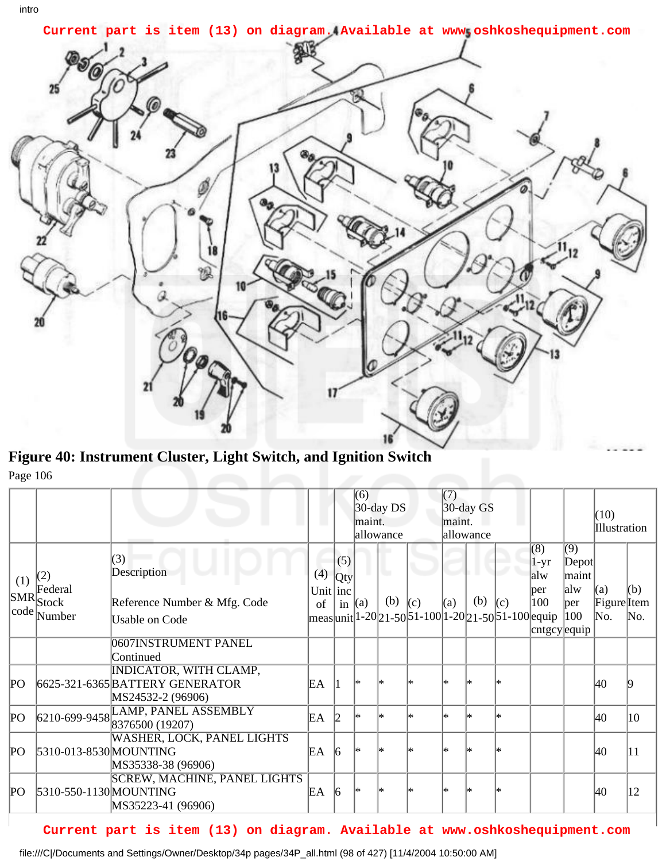

**Figure 40: Instrument Cluster, Light Switch, and Ignition Switch** Page 106

|             |                                                          |                                                                                       |                           |                        | (6)<br>$30$ -day DS<br>maint.<br>allowance |           | (7)<br>$30$ -day GS<br>maint.<br>allowance                           |     |     |     |                                                    | (10)<br>Illustration                                       |                              |            |
|-------------|----------------------------------------------------------|---------------------------------------------------------------------------------------|---------------------------|------------------------|--------------------------------------------|-----------|----------------------------------------------------------------------|-----|-----|-----|----------------------------------------------------|------------------------------------------------------------|------------------------------|------------|
| (1)         | (2)<br>Federal<br>$ {\rm SMR} $ Stock<br>$ code $ Number | (3)<br>Description<br>Reference Number & Mfg. Code<br>Usable on Code                  | (4)<br>Unit $ $ inc<br>of | (5)<br>Qty<br>in $(a)$ |                                            | u.<br>(b) | (c)<br>  meas  unit  1-20  21-50  51-100  1-20  21-50  51-100  equip | (a) | (b) | (c) | (8)<br>$1-yr$<br>alw<br>per<br>100<br>cntgcy equip | $\overline{(9)}$<br>Depot<br>lmaint<br>alw<br> per <br>100 | (a)<br>Figure<br>Item<br>No. | (b)<br>No. |
|             |                                                          | 0607 INSTRUMENT PANEL<br>Continued                                                    |                           |                        |                                            |           |                                                                      |     |     |     |                                                    |                                                            |                              |            |
| PО          |                                                          | <b>INDICATOR, WITH CLAMP,</b><br>6625-321-6365 BATTERY GENERATOR<br>MS24532-2 (96906) | EΑ                        |                        | l*                                         |           |                                                                      | l∗  |     | l*  |                                                    |                                                            | 40                           |            |
| $P_{\rm O}$ |                                                          | 6210-699-9458 LAMP, PANEL ASSEMBLY                                                    | EА                        | 12                     | l∗                                         | l*        | l*                                                                   | l*  | l∗  | l*  |                                                    |                                                            | 40                           | 10         |
| PО          | 5310-013-8530 MOUNTING                                   | <b>WASHER, LOCK, PANEL LIGHTS</b><br>MS35338-38 (96906)                               | EΑ                        | 16                     | l*                                         |           |                                                                      | ∗   |     |     |                                                    |                                                            | 40                           | 11         |
| PО          | 5310-550-1130 MOUNTING                                   | <b>SCREW, MACHINE, PANEL LIGHTS</b><br>MS35223-41 (96906)                             | EA                        | $\vert 6 \vert$        | l*                                         |           |                                                                      | ∗   |     |     |                                                    |                                                            | 40                           | 12         |

## **Current part is item (13) on diagram. Available at www.oshkoshequipment.com**